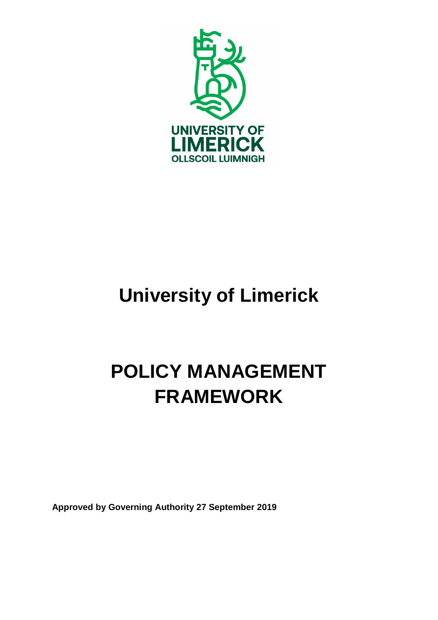

# **University of Limerick**

# **POLICY MANAGEMENT FRAMEWORK**

**Approved by Governing Authority 27 September 2019**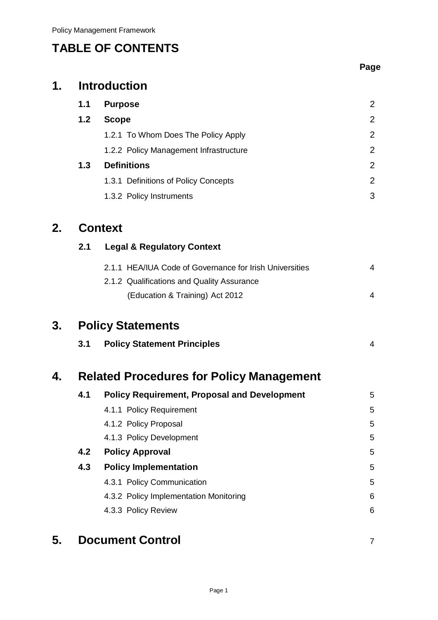# **TABLE OF CONTENTS**

|    |     |                                                         | Page           |
|----|-----|---------------------------------------------------------|----------------|
| 1. |     | <b>Introduction</b>                                     |                |
|    | 1.1 | <b>Purpose</b>                                          | $\overline{2}$ |
|    | 1.2 | <b>Scope</b>                                            | $\overline{2}$ |
|    |     | 1.2.1 To Whom Does The Policy Apply                     | $\overline{2}$ |
|    |     | 1.2.2 Policy Management Infrastructure                  | $\overline{2}$ |
|    | 1.3 | <b>Definitions</b>                                      | $\overline{2}$ |
|    |     | 1.3.1 Definitions of Policy Concepts                    | $\overline{2}$ |
|    |     | 1.3.2 Policy Instruments                                | 3              |
| 2. |     | <b>Context</b>                                          |                |
|    | 2.1 | <b>Legal &amp; Regulatory Context</b>                   |                |
|    |     | 2.1.1 HEA/IUA Code of Governance for Irish Universities | 4              |
|    |     | 2.1.2 Qualifications and Quality Assurance              |                |
|    |     | (Education & Training) Act 2012                         | 4              |
| 3. |     | <b>Policy Statements</b>                                |                |
|    | 3.1 | <b>Policy Statement Principles</b>                      | 4              |
| 4. |     | <b>Related Procedures for Policy Management</b>         |                |
|    | 4.1 | <b>Policy Requirement, Proposal and Development</b>     | 5              |
|    |     | 4.1.1 Policy Requirement                                | 5              |
|    |     | 4.1.2 Policy Proposal                                   | 5              |
|    |     | 4.1.3 Policy Development                                | 5              |
|    | 4.2 | <b>Policy Approval</b>                                  | 5              |
|    | 4.3 | <b>Policy Implementation</b>                            | 5              |
|    |     | 4.3.1 Policy Communication                              | 5              |
|    |     | 4.3.2 Policy Implementation Monitoring                  | 6              |
|    |     | 4.3.3 Policy Review                                     | 6              |
| 5. |     | <b>Document Control</b>                                 | $\overline{7}$ |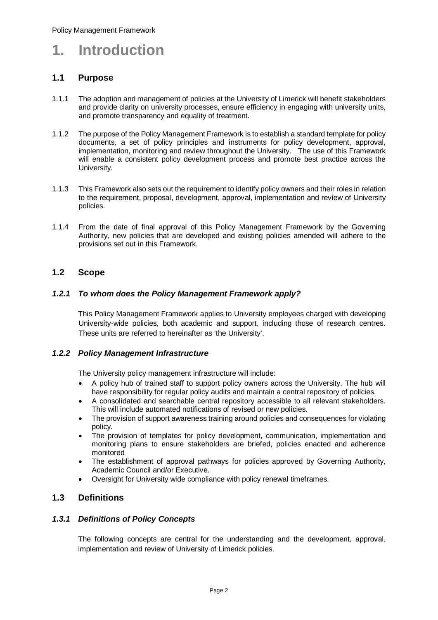# **1. Introduction**

#### **1.1 Purpose**

- 1.1.1 The adoption and management of policies at the University of Limerick will benefit stakeholders and provide clarity on university processes, ensure efficiency in engaging with university units, and promote transparency and equality of treatment.
- 1.1.2 The purpose of the Policy Management Framework is to establish a standard template for policy documents, a set of policy principles and instruments for policy development, approval, implementation, monitoring and review throughout the University. The use of this Framework will enable a consistent policy development process and promote best practice across the University.
- 1.1.3 This Framework also sets out the requirement to identify policy owners and their roles in relation to the requirement, proposal, development, approval, implementation and review of University policies.
- 1.1.4 From the date of final approval of this Policy Management Framework by the Governing Authority, new policies that are developed and existing policies amended will adhere to the provisions set out in this Framework.

#### **1.2 Scope**

#### *1.2.1 To whom does the Policy Management Framework apply?*

This Policy Management Framework applies to University employees charged with developing University-wide policies, both academic and support, including those of research centres. These units are referred to hereinafter as 'the University'.

#### *1.2.2 Policy Management Infrastructure*

The University policy management infrastructure will include:

- A policy hub of trained staff to support policy owners across the University. The hub will have responsibility for regular policy audits and maintain a central repository of policies.
- A consolidated and searchable central repository accessible to all relevant stakeholders. This will include automated notifications of revised or new policies.
- The provision of support awareness training around policies and consequences for violating policy.
- The provision of templates for policy development, communication, implementation and monitoring plans to ensure stakeholders are briefed, policies enacted and adherence monitored
- The establishment of approval pathways for policies approved by Governing Authority, Academic Council and/or Executive.
- Oversight for University wide compliance with policy renewal timeframes.

#### **1.3 Definitions**

#### *1.3.1 Definitions of Policy Concepts*

The following concepts are central for the understanding and the development, approval, implementation and review of University of Limerick policies.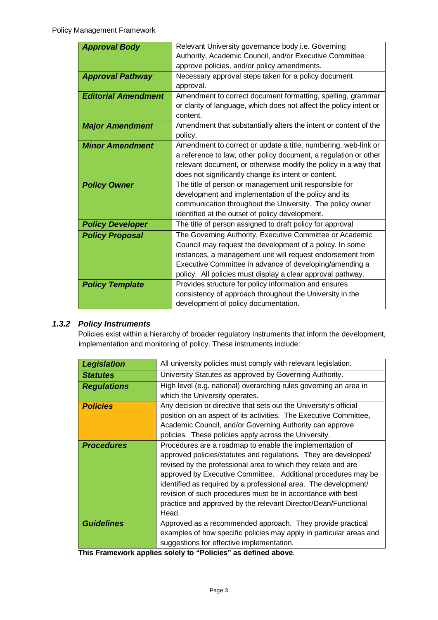| <b>Approval Body</b>       | Relevant University governance body i.e. Governing                 |  |  |
|----------------------------|--------------------------------------------------------------------|--|--|
|                            | Authority, Academic Council, and/or Executive Committee            |  |  |
|                            | approve policies, and/or policy amendments.                        |  |  |
| <b>Approval Pathway</b>    | Necessary approval steps taken for a policy document               |  |  |
|                            | approval.                                                          |  |  |
| <b>Editorial Amendment</b> | Amendment to correct document formatting, spelling, grammar        |  |  |
|                            |                                                                    |  |  |
|                            | or clarity of language, which does not affect the policy intent or |  |  |
|                            | content.                                                           |  |  |
| <b>Major Amendment</b>     | Amendment that substantially alters the intent or content of the   |  |  |
|                            | policy.                                                            |  |  |
| <b>Minor Amendment</b>     | Amendment to correct or update a title, numbering, web-link or     |  |  |
|                            | a reference to law, other policy document, a regulation or other   |  |  |
|                            | relevant document, or otherwise modify the policy in a way that    |  |  |
|                            | does not significantly change its intent or content.               |  |  |
| <b>Policy Owner</b>        | The title of person or management unit responsible for             |  |  |
|                            | development and implementation of the policy and its               |  |  |
|                            | communication throughout the University. The policy owner          |  |  |
|                            | identified at the outset of policy development.                    |  |  |
| <b>Policy Developer</b>    | The title of person assigned to draft policy for approval          |  |  |
| <b>Policy Proposal</b>     | The Governing Authority, Executive Committee or Academic           |  |  |
|                            | Council may request the development of a policy. In some           |  |  |
|                            | instances, a management unit will request endorsement from         |  |  |
|                            | Executive Committee in advance of developing/amending a            |  |  |
|                            | policy. All policies must display a clear approval pathway.        |  |  |
| <b>Policy Template</b>     | Provides structure for policy information and ensures              |  |  |
|                            | consistency of approach throughout the University in the           |  |  |
|                            | development of policy documentation.                               |  |  |

### *1.3.2 Policy Instruments*

Policies exist within a hierarchy of broader regulatory instruments that inform the development, implementation and monitoring of policy. These instruments include:

| <b>Legislation</b> | All university policies must comply with relevant legislation.                                                                                                                                                                                                                                                                                                                                                                                                             |
|--------------------|----------------------------------------------------------------------------------------------------------------------------------------------------------------------------------------------------------------------------------------------------------------------------------------------------------------------------------------------------------------------------------------------------------------------------------------------------------------------------|
| <b>Statutes</b>    | University Statutes as approved by Governing Authority.                                                                                                                                                                                                                                                                                                                                                                                                                    |
| <b>Regulations</b> | High level (e.g. national) overarching rules governing an area in<br>which the University operates.                                                                                                                                                                                                                                                                                                                                                                        |
| <b>Policies</b>    | Any decision or directive that sets out the University's official<br>position on an aspect of its activities. The Executive Committee,<br>Academic Council, and/or Governing Authority can approve<br>policies. These policies apply across the University.                                                                                                                                                                                                                |
| <b>Procedures</b>  | Procedures are a roadmap to enable the implementation of<br>approved policies/statutes and regulations. They are developed/<br>revised by the professional area to which they relate and are<br>approved by Executive Committee. Additional procedures may be<br>identified as required by a professional area. The development/<br>revision of such procedures must be in accordance with best<br>practice and approved by the relevant Director/Dean/Functional<br>Head. |
| <b>Guidelines</b>  | Approved as a recommended approach. They provide practical<br>examples of how specific policies may apply in particular areas and<br>suggestions for effective implementation.                                                                                                                                                                                                                                                                                             |

**This Framework applies solely to "Policies" as defined above**.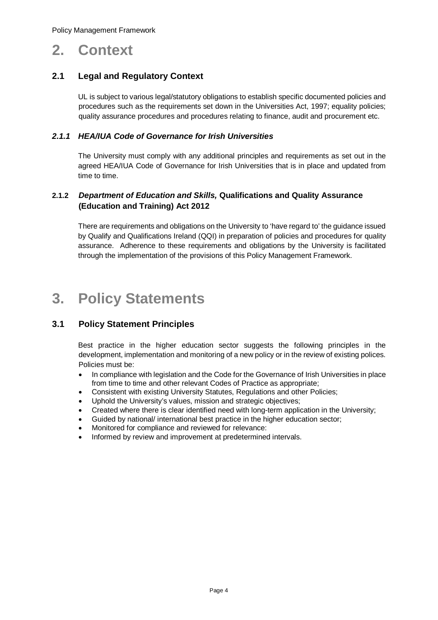# **2. Context**

### **2.1 Legal and Regulatory Context**

UL is subject to various legal/statutory obligations to establish specific documented policies and procedures such as the requirements set down in the Universities Act, 1997; equality policies; quality assurance procedures and procedures relating to finance, audit and procurement etc.

#### *2.1.1 HEA/IUA Code of Governance for Irish Universities*

The University must comply with any additional principles and requirements as set out in the agreed HEA/IUA Code of Governance for Irish Universities that is in place and updated from time to time.

#### **2.1.2** *Department of Education and Skills,* **Qualifications and Quality Assurance (Education and Training) Act 2012**

There are requirements and obligations on the University to 'have regard to' the guidance issued by Qualify and Qualifications Ireland (QQI) in preparation of policies and procedures for quality assurance. Adherence to these requirements and obligations by the University is facilitated through the implementation of the provisions of this Policy Management Framework.

# **3. Policy Statements**

#### **3.1 Policy Statement Principles**

Best practice in the higher education sector suggests the following principles in the development, implementation and monitoring of a new policy or in the review of existing polices. Policies must be:

- In compliance with legislation and the Code for the Governance of Irish Universities in place from time to time and other relevant Codes of Practice as appropriate;
- Consistent with existing University Statutes, Regulations and other Policies;
- Uphold the University's values, mission and strategic objectives;
- Created where there is clear identified need with long-term application in the University;
- Guided by national/ international best practice in the higher education sector;
- Monitored for compliance and reviewed for relevance:
- Informed by review and improvement at predetermined intervals.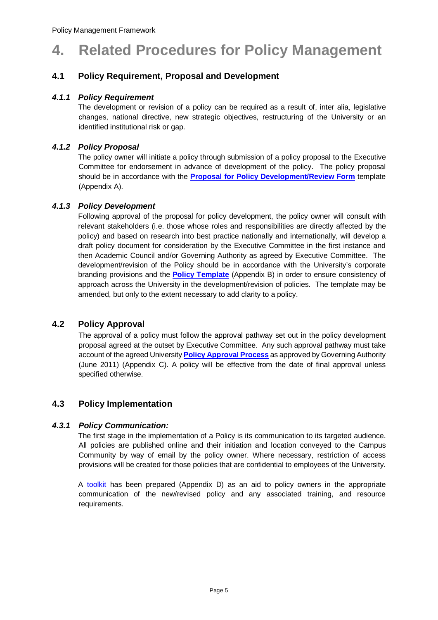# **4. Related Procedures for Policy Management**

### **4.1 Policy Requirement, Proposal and Development**

#### *4.1.1 Policy Requirement*

The development or revision of a policy can be required as a result of, inter alia, legislative changes, national directive, new strategic objectives, restructuring of the University or an identified institutional risk or gap.

#### *4.1.2 Policy Proposal*

The policy owner will initiate a policy through submission of a policy proposal to the Executive Committee for endorsement in advance of development of the policy. The policy proposal should be in accordance with the **[Proposal for Policy Development/Review Form](#page-9-0)** template (Appendix A).

#### *4.1.3 Policy Development*

Following approval of the proposal for policy development, the policy owner will consult with relevant stakeholders (i.e. those whose roles and responsibilities are directly affected by the policy) and based on research into best practice nationally and internationally, will develop a draft policy document for consideration by the Executive Committee in the first instance and then Academic Council and/or Governing Authority as agreed by Executive Committee. The development/revision of the Policy should be in accordance with the University's corporate branding provisions and the **[Policy Template](#page-14-0)** (Appendix B) in order to ensure consistency of approach across the University in the development/revision of policies. The template may be amended, but only to the extent necessary to add clarity to a policy.

#### **4.2 Policy Approval**

The approval of a policy must follow the approval pathway set out in the policy development proposal agreed at the outset by Executive Committee. Any such approval pathway must take account of the agreed University **[Policy Approval Process](#page-19-0)** as approved by Governing Authority (June 2011) (Appendix C). A policy will be effective from the date of final approval unless specified otherwise.

#### **4.3 Policy Implementation**

#### *4.3.1 Policy Communication:*

The first stage in the implementation of a Policy is its communication to its targeted audience. All policies are published online and their initiation and location conveyed to the Campus Community by way of email by the policy owner. Where necessary, restriction of access provisions will be created for those policies that are confidential to employees of the University.

A [toolkit](#page-20-0) has been prepared (Appendix D) as an aid to policy owners in the appropriate communication of the new/revised policy and any associated training, and resource requirements.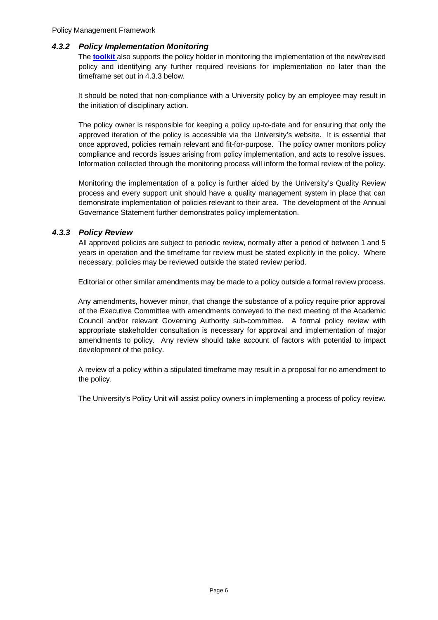#### *4.3.2 Policy Implementation Monitoring*

The **[toolkit](#page-20-0)** also supports the policy holder in monitoring the implementation of the new/revised policy and identifying any further required revisions for implementation no later than the timeframe set out in 4.3.3 below.

It should be noted that non-compliance with a University policy by an employee may result in the initiation of disciplinary action.

The policy owner is responsible for keeping a policy up-to-date and for ensuring that only the approved iteration of the policy is accessible via the University's website. It is essential that once approved, policies remain relevant and fit-for-purpose. The policy owner monitors policy compliance and records issues arising from policy implementation, and acts to resolve issues. Information collected through the monitoring process will inform the formal review of the policy.

Monitoring the implementation of a policy is further aided by the University's Quality Review process and every support unit should have a quality management system in place that can demonstrate implementation of policies relevant to their area. The development of the Annual Governance Statement further demonstrates policy implementation.

#### *4.3.3 Policy Review*

All approved policies are subject to periodic review, normally after a period of between 1 and 5 years in operation and the timeframe for review must be stated explicitly in the policy. Where necessary, policies may be reviewed outside the stated review period.

Editorial or other similar amendments may be made to a policy outside a formal review process.

Any amendments, however minor, that change the substance of a policy require prior approval of the Executive Committee with amendments conveyed to the next meeting of the Academic Council and/or relevant Governing Authority sub-committee. A formal policy review with appropriate stakeholder consultation is necessary for approval and implementation of major amendments to policy. Any review should take account of factors with potential to impact development of the policy.

A review of a policy within a stipulated timeframe may result in a proposal for no amendment to the policy.

The University's Policy Unit will assist policy owners in implementing a process of policy review.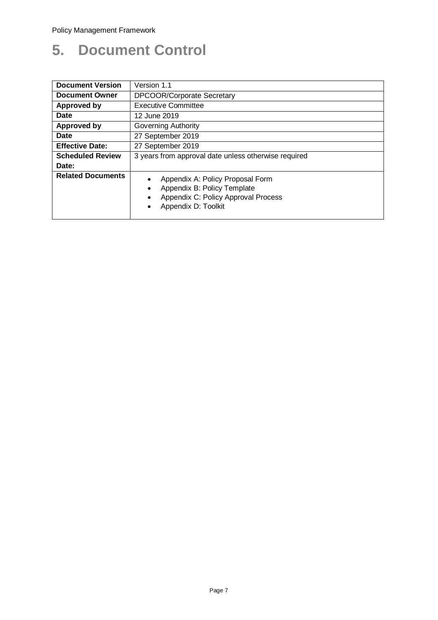# **5. Document Control**

| <b>Document Version</b>  | Version 1.1                                                                                                                                             |  |  |  |
|--------------------------|---------------------------------------------------------------------------------------------------------------------------------------------------------|--|--|--|
| <b>Document Owner</b>    | <b>DPCOOR/Corporate Secretary</b>                                                                                                                       |  |  |  |
| <b>Approved by</b>       | <b>Executive Committee</b>                                                                                                                              |  |  |  |
| Date                     | 12 June 2019                                                                                                                                            |  |  |  |
| <b>Approved by</b>       | <b>Governing Authority</b>                                                                                                                              |  |  |  |
| Date                     | 27 September 2019                                                                                                                                       |  |  |  |
| <b>Effective Date:</b>   | 27 September 2019                                                                                                                                       |  |  |  |
| <b>Scheduled Review</b>  | 3 years from approval date unless otherwise required                                                                                                    |  |  |  |
| Date:                    |                                                                                                                                                         |  |  |  |
| <b>Related Documents</b> | Appendix A: Policy Proposal Form<br>$\bullet$<br>Appendix B: Policy Template<br>Appendix C: Policy Approval Process<br>$\bullet$<br>Appendix D: Toolkit |  |  |  |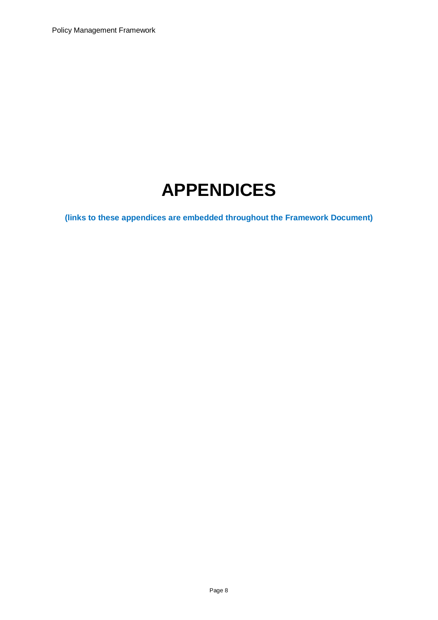# **APPENDICES**

**(links to these appendices are embedded throughout the Framework Document)**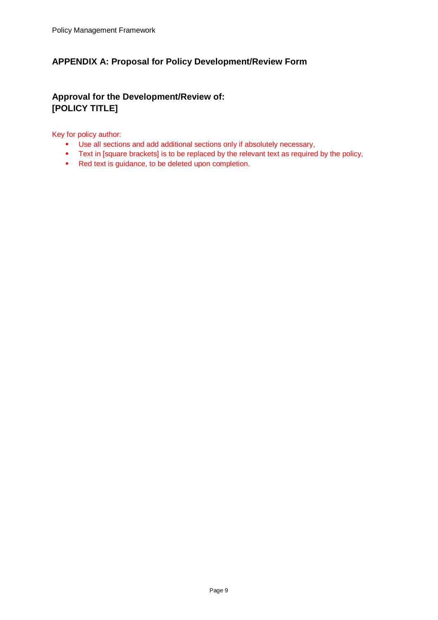### <span id="page-9-0"></span>**APPENDIX A: Proposal for Policy Development/Review Form**

# **Approval for the Development/Review of: [POLICY TITLE]**

#### Key for policy author:

- Use all sections and add additional sections only if absolutely necessary,
- **Text in [square brackets] is to be replaced by the relevant text as required by the policy,**
- Red text is guidance, to be deleted upon completion.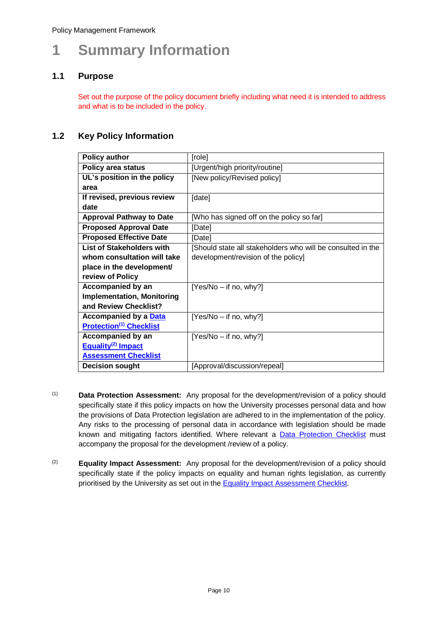# **1 Summary Information**

#### **1.1 Purpose**

Set out the purpose of the policy document briefly including what need it is intended to address and what is to be included in the policy.

#### **1.2 Key Policy Information**

| <b>Policy author</b>              | [role]                                                      |
|-----------------------------------|-------------------------------------------------------------|
| <b>Policy area status</b>         | [Urgent/high priority/routine]                              |
| UL's position in the policy       | [New policy/Revised policy]                                 |
| area                              |                                                             |
| If revised, previous review       | [date]                                                      |
| date                              |                                                             |
| <b>Approval Pathway to Date</b>   | [Who has signed off on the policy so far]                   |
| <b>Proposed Approval Date</b>     | [Date]                                                      |
| <b>Proposed Effective Date</b>    | [Date]                                                      |
| <b>List of Stakeholders with</b>  | [Should state all stakeholders who will be consulted in the |
| whom consultation will take       | development/revision of the policy]                         |
| place in the development/         |                                                             |
| review of Policy                  |                                                             |
| <b>Accompanied by an</b>          | $[Yes/No - if no, why?]$                                    |
| <b>Implementation, Monitoring</b> |                                                             |
| and Review Checklist?             |                                                             |
| <b>Accompanied by a Data</b>      | $[Yes/No - if no, why?]$                                    |
| <b>Protection(1) Checklist</b>    |                                                             |
| <b>Accompanied by an</b>          | $[Yes/No - if no, why?]$                                    |
| Equality <sup>(2)</sup> Impact    |                                                             |
| <b>Assessment Checklist</b>       |                                                             |
| <b>Decision sought</b>            | [Approval/discussion/repeal]                                |

- (1) **Data Protection Assessment:** Any proposal for the development/revision of a policy should specifically state if this policy impacts on how the University processes personal data and how the provisions of Data Protection legislation are adhered to in the implementation of the policy. Any risks to the processing of personal data in accordance with legislation should be made known and mitigating factors identified. Where relevant a **[Data Protection Checklist](#page-12-0)** must accompany the proposal for the development /review of a policy.
- (2) **Equality Impact Assessment:** Any proposal for the development/revision of a policy should specifically state if the policy impacts on equality and human rights legislation, as currently prioritised by the University as set out in the [Equality Impact Assessment Checklist.](#page-13-0)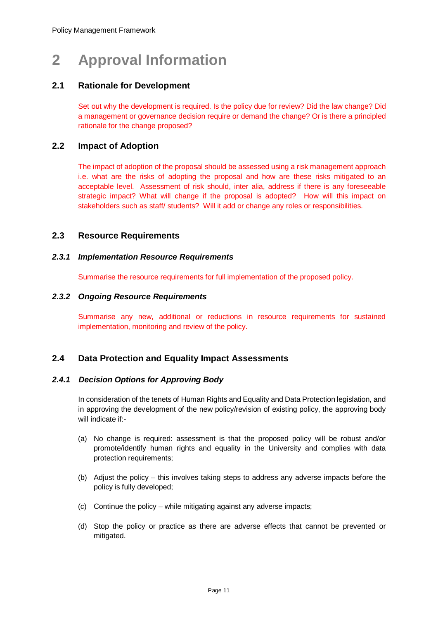# **2 Approval Information**

#### **2.1 Rationale for Development**

Set out why the development is required. Is the policy due for review? Did the law change? Did a management or governance decision require or demand the change? Or is there a principled rationale for the change proposed?

#### **2.2 Impact of Adoption**

The impact of adoption of the proposal should be assessed using a risk management approach i.e. what are the risks of adopting the proposal and how are these risks mitigated to an acceptable level. Assessment of risk should, inter alia, address if there is any foreseeable strategic impact? What will change if the proposal is adopted? How will this impact on stakeholders such as staff/ students? Will it add or change any roles or responsibilities.

#### **2.3 Resource Requirements**

#### *2.3.1 Implementation Resource Requirements*

Summarise the resource requirements for full implementation of the proposed policy.

#### *2.3.2 Ongoing Resource Requirements*

Summarise any new, additional or reductions in resource requirements for sustained implementation, monitoring and review of the policy.

#### **2.4 Data Protection and Equality Impact Assessments**

#### *2.4.1 Decision Options for Approving Body*

In consideration of the tenets of Human Rights and Equality and Data Protection legislation, and in approving the development of the new policy/revision of existing policy, the approving body will indicate if:-

- (a) No change is required: assessment is that the proposed policy will be robust and/or promote/identify human rights and equality in the University and complies with data protection requirements;
- (b) Adjust the policy this involves taking steps to address any adverse impacts before the policy is fully developed;
- (c) Continue the policy while mitigating against any adverse impacts;
- (d) Stop the policy or practice as there are adverse effects that cannot be prevented or mitigated.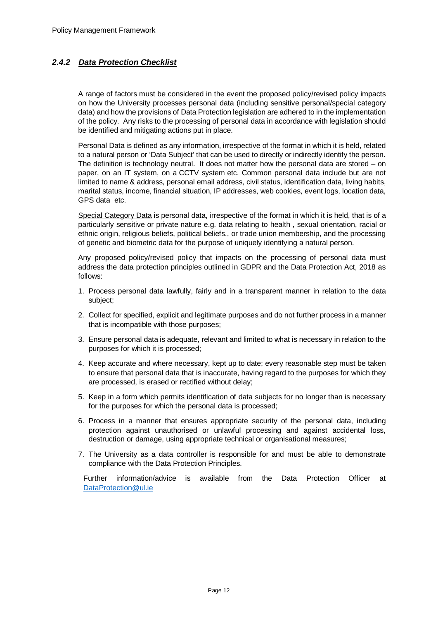### <span id="page-12-0"></span>*2.4.2 Data Protection Checklist*

A range of factors must be considered in the event the proposed policy/revised policy impacts on how the University processes personal data (including sensitive personal/special category data) and how the provisions of Data Protection legislation are adhered to in the implementation of the policy. Any risks to the processing of personal data in accordance with legislation should be identified and mitigating actions put in place.

Personal Data is defined as any information, irrespective of the format in which it is held, related to a natural person or 'Data Subject' that can be used to directly or indirectly identify the person. The definition is technology neutral. It does not matter how the personal data are stored – on paper, on an IT system, on a CCTV system etc. Common personal data include but are not limited to name & address, personal email address, civil status, identification data, living habits, marital status, income, financial situation, IP addresses, web cookies, event logs, location data, GPS data etc.

Special Category Data is personal data, irrespective of the format in which it is held, that is of a particularly sensitive or private nature e.g. data relating to health , sexual orientation, racial or ethnic origin, religious beliefs, political beliefs., or trade union membership, and the processing of genetic and biometric data for the purpose of uniquely identifying a natural person.

Any proposed policy/revised policy that impacts on the processing of personal data must address the data protection principles outlined in GDPR and the Data Protection Act, 2018 as follows:

- 1. Process personal data lawfully, fairly and in a transparent manner in relation to the data subject;
- 2. Collect for specified, explicit and legitimate purposes and do not further process in a manner that is incompatible with those purposes;
- 3. Ensure personal data is adequate, relevant and limited to what is necessary in relation to the purposes for which it is processed;
- 4. Keep accurate and where necessary, kept up to date; every reasonable step must be taken to ensure that personal data that is inaccurate, having regard to the purposes for which they are processed, is erased or rectified without delay;
- 5. Keep in a form which permits identification of data subjects for no longer than is necessary for the purposes for which the personal data is processed;
- 6. Process in a manner that ensures appropriate security of the personal data, including protection against unauthorised or unlawful processing and against accidental loss, destruction or damage, using appropriate technical or organisational measures;
- 7. The University as a data controller is responsible for and must be able to demonstrate compliance with the Data Protection Principles.

Further information/advice is available from the Data Protection Officer at [DataProtection@ul.ie](mailto:DataProtection@ul.ie)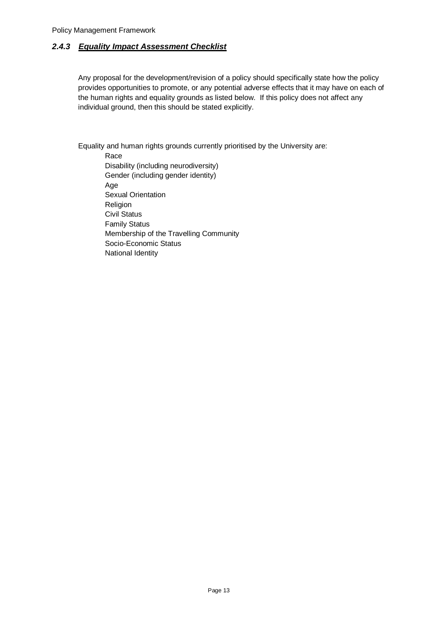#### <span id="page-13-0"></span>*2.4.3 Equality Impact Assessment Checklist*

Any proposal for the development/revision of a policy should specifically state how the policy provides opportunities to promote, or any potential adverse effects that it may have on each of the human rights and equality grounds as listed below. If this policy does not affect any individual ground, then this should be stated explicitly.

Equality and human rights grounds currently prioritised by the University are:

Race Disability (including neurodiversity) Gender (including gender identity) Age Sexual Orientation Religion Civil Status Family Status Membership of the Travelling Community Socio-Economic Status National Identity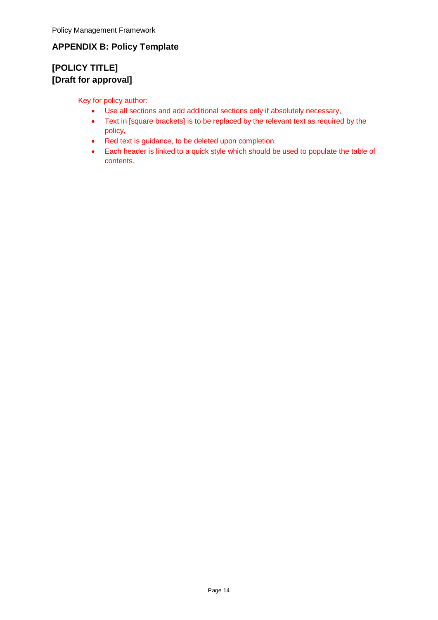# <span id="page-14-0"></span>**APPENDIX B: Policy Template**

# **[POLICY TITLE] [Draft for approval]**

Key for policy author:

- Use all sections and add additional sections only if absolutely necessary,
- Text in [square brackets] is to be replaced by the relevant text as required by the policy,
- Red text is guidance, to be deleted upon completion.
- Each header is linked to a quick style which should be used to populate the table of contents.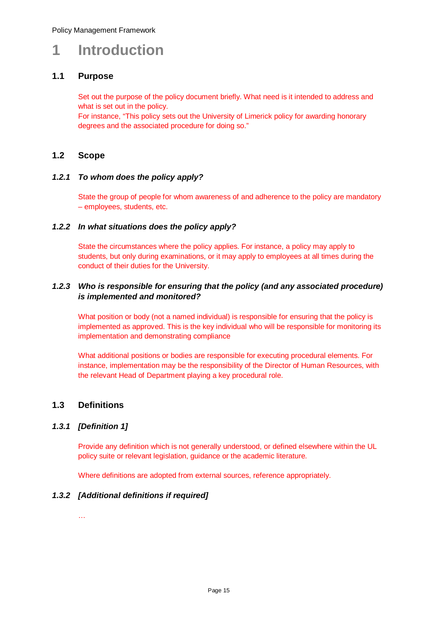# **1 Introduction**

#### **1.1 Purpose**

Set out the purpose of the policy document briefly. What need is it intended to address and what is set out in the policy.

For instance, "This policy sets out the University of Limerick policy for awarding honorary degrees and the associated procedure for doing so."

#### **1.2 Scope**

#### *1.2.1 To whom does the policy apply?*

State the group of people for whom awareness of and adherence to the policy are mandatory – employees, students, etc.

#### *1.2.2 In what situations does the policy apply?*

State the circumstances where the policy applies. For instance, a policy may apply to students, but only during examinations, or it may apply to employees at all times during the conduct of their duties for the University.

#### *1.2.3 Who is responsible for ensuring that the policy (and any associated procedure) is implemented and monitored?*

What position or body (not a named individual) is responsible for ensuring that the policy is implemented as approved. This is the key individual who will be responsible for monitoring its implementation and demonstrating compliance

What additional positions or bodies are responsible for executing procedural elements. For instance, implementation may be the responsibility of the Director of Human Resources, with the relevant Head of Department playing a key procedural role.

#### **1.3 Definitions**

#### *1.3.1 [Definition 1]*

Provide any definition which is not generally understood, or defined elsewhere within the UL policy suite or relevant legislation, guidance or the academic literature.

Where definitions are adopted from external sources, reference appropriately.

#### *1.3.2 [Additional definitions if required]*

…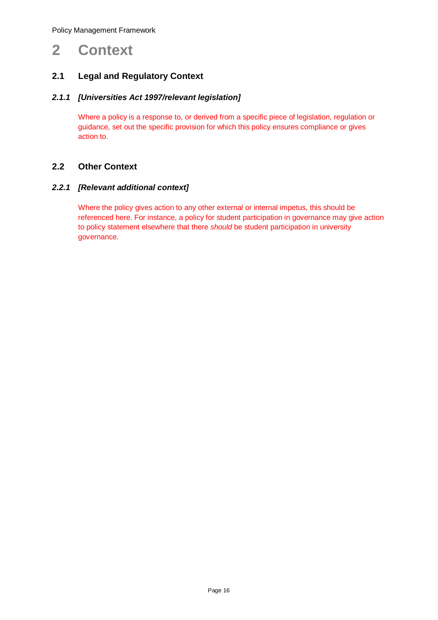# **2 Context**

### **2.1 Legal and Regulatory Context**

#### *2.1.1 [Universities Act 1997/relevant legislation]*

Where a policy is a response to, or derived from a specific piece of legislation, regulation or guidance, set out the specific provision for which this policy ensures compliance or gives action to.

#### **2.2 Other Context**

#### *2.2.1 [Relevant additional context]*

Where the policy gives action to any other external or internal impetus, this should be referenced here. For instance, a policy for student participation in governance may give action to policy statement elsewhere that there *should* be student participation in university governance.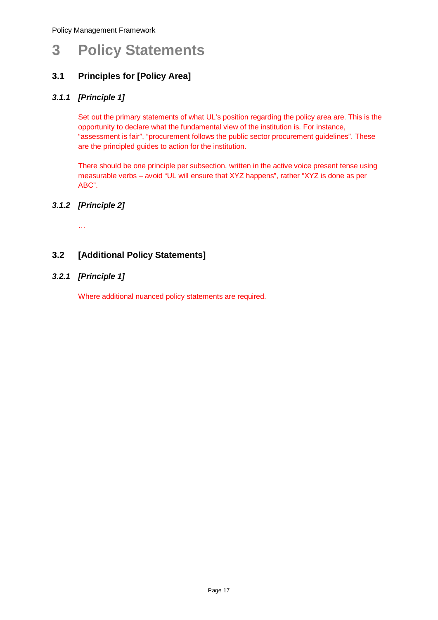# **3 Policy Statements**

## **3.1 Principles for [Policy Area]**

#### *3.1.1 [Principle 1]*

Set out the primary statements of what UL's position regarding the policy area are. This is the opportunity to declare what the fundamental view of the institution is. For instance, "assessment is fair", "procurement follows the public sector procurement guidelines". These are the principled guides to action for the institution.

There should be one principle per subsection, written in the active voice present tense using measurable verbs – avoid "UL will ensure that XYZ happens", rather "XYZ is done as per ABC".

#### *3.1.2 [Principle 2]*

…

### **3.2 [Additional Policy Statements]**

#### *3.2.1 [Principle 1]*

Where additional nuanced policy statements are required.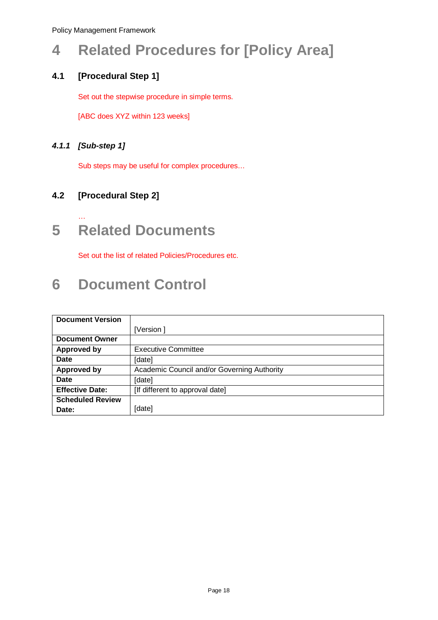# **4 Related Procedures for [Policy Area]**

# **4.1 [Procedural Step 1]**

Set out the stepwise procedure in simple terms.

[ABC does XYZ within 123 weeks]

### *4.1.1 [Sub-step 1]*

…

Sub steps may be useful for complex procedures…

# **4.2 [Procedural Step 2]**

# **5 Related Documents**

Set out the list of related Policies/Procedures etc.

# **6 Document Control**

| <b>Document Version</b> |                                             |
|-------------------------|---------------------------------------------|
|                         | [Version]                                   |
| <b>Document Owner</b>   |                                             |
| Approved by             | <b>Executive Committee</b>                  |
| Date                    | [date]                                      |
| <b>Approved by</b>      | Academic Council and/or Governing Authority |
| <b>Date</b>             | [date]                                      |
| <b>Effective Date:</b>  | [If different to approval date]             |
| <b>Scheduled Review</b> |                                             |
| Date:                   | [date]                                      |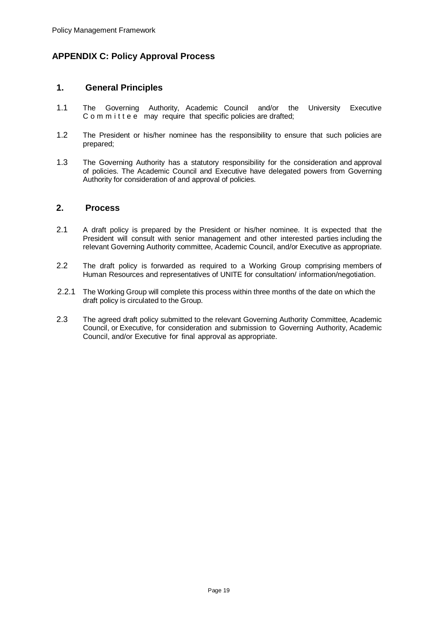### <span id="page-19-0"></span>**APPENDIX C: Policy Approval Process**

#### **1. General Principles**

- 1.1 The Governing Authority, Academic Council and/or the University Executive C o m m i t t e e may require that specific policies are drafted;
- 1.2 The President or his/her nominee has the responsibility to ensure that such policies are prepared;
- 1.3 The Governing Authority has a statutory responsibility for the consideration and approval of policies. The Academic Council and Executive have delegated powers from Governing Authority for consideration of and approval of policies.

#### **2. Process**

- 2.1 A draft policy is prepared by the President or his/her nominee. It is expected that the President will consult with senior management and other interested parties including the relevant Governing Authority committee, Academic Council, and/or Executive as appropriate.
- 2.2 The draft policy is forwarded as required to a Working Group comprising members of Human Resources and representatives of UNITE for consultation/ information/negotiation.
- 2.2.1 The Working Group will complete this process within three months of the date on which the draft policy is circulated to the Group.
- 2.3 The agreed draft policy submitted to the relevant Governing Authority Committee, Academic Council, or Executive, for consideration and submission to Governing Authority, Academic Council, and/or Executive for final approval as appropriate.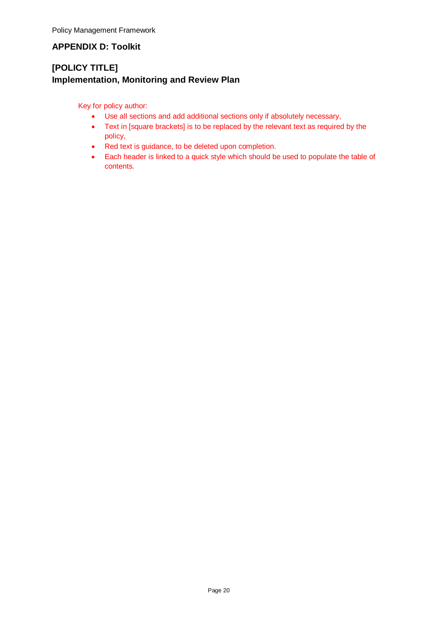### <span id="page-20-0"></span>**APPENDIX D: Toolkit**

# **[POLICY TITLE] Implementation, Monitoring and Review Plan**

Key for policy author:

- Use all sections and add additional sections only if absolutely necessary,
- Text in [square brackets] is to be replaced by the relevant text as required by the policy,
- Red text is guidance, to be deleted upon completion.
- Each header is linked to a quick style which should be used to populate the table of contents.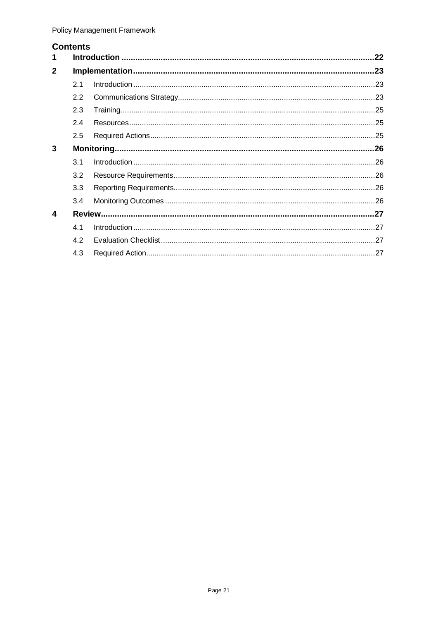### **Contents**

| 1            |     |  | .22 |  |  |  |
|--------------|-----|--|-----|--|--|--|
| $\mathbf{2}$ |     |  |     |  |  |  |
|              | 2.1 |  |     |  |  |  |
|              | 2.2 |  |     |  |  |  |
|              | 2.3 |  |     |  |  |  |
|              | 2.4 |  |     |  |  |  |
|              | 2.5 |  |     |  |  |  |
| 3            |     |  |     |  |  |  |
|              | 3.1 |  |     |  |  |  |
|              | 3.2 |  |     |  |  |  |
|              | 3.3 |  |     |  |  |  |
|              | 3.4 |  |     |  |  |  |
| 4            |     |  |     |  |  |  |
|              | 4.1 |  |     |  |  |  |
|              | 4.2 |  |     |  |  |  |
|              | 4.3 |  |     |  |  |  |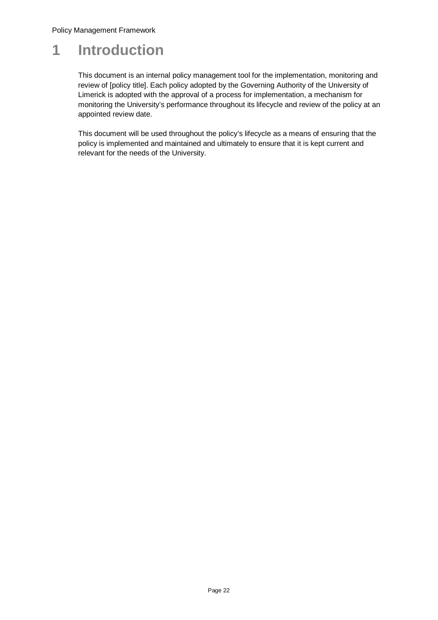# <span id="page-22-0"></span>**1 Introduction**

This document is an internal policy management tool for the implementation, monitoring and review of [policy title]. Each policy adopted by the Governing Authority of the University of Limerick is adopted with the approval of a process for implementation, a mechanism for monitoring the University's performance throughout its lifecycle and review of the policy at an appointed review date.

This document will be used throughout the policy's lifecycle as a means of ensuring that the policy is implemented and maintained and ultimately to ensure that it is kept current and relevant for the needs of the University.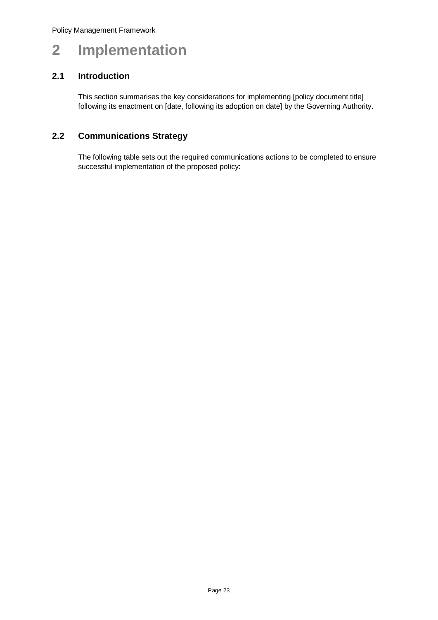# <span id="page-23-0"></span>**2 Implementation**

### <span id="page-23-1"></span>**2.1 Introduction**

This section summarises the key considerations for implementing [policy document title] following its enactment on [date, following its adoption on date] by the Governing Authority.

### <span id="page-23-2"></span>**2.2 Communications Strategy**

The following table sets out the required communications actions to be completed to ensure successful implementation of the proposed policy: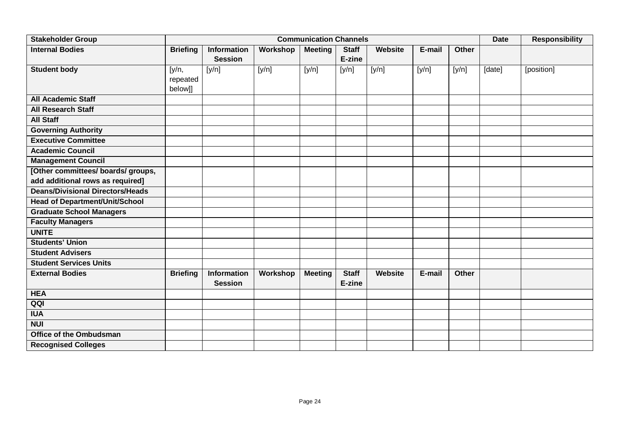| <b>Stakeholder Group</b>                |                              |                                      |          | <b>Communication Channels</b> |                        |         |        |              | <b>Date</b> | <b>Responsibility</b> |
|-----------------------------------------|------------------------------|--------------------------------------|----------|-------------------------------|------------------------|---------|--------|--------------|-------------|-----------------------|
| <b>Internal Bodies</b>                  | <b>Briefing</b>              | Information<br><b>Session</b>        | Workshop | <b>Meeting</b>                | <b>Staff</b><br>E-zine | Website | E-mail | Other        |             |                       |
| <b>Student body</b>                     | [y/n,<br>repeated<br>below]] | [y/n]                                | [y/n]    | [y/n]                         | [y/n]                  | [y/n]   | [y/n]  | [y/n]        | [date]      | [position]            |
| <b>All Academic Staff</b>               |                              |                                      |          |                               |                        |         |        |              |             |                       |
| <b>All Research Staff</b>               |                              |                                      |          |                               |                        |         |        |              |             |                       |
| <b>All Staff</b>                        |                              |                                      |          |                               |                        |         |        |              |             |                       |
| <b>Governing Authority</b>              |                              |                                      |          |                               |                        |         |        |              |             |                       |
| <b>Executive Committee</b>              |                              |                                      |          |                               |                        |         |        |              |             |                       |
| <b>Academic Council</b>                 |                              |                                      |          |                               |                        |         |        |              |             |                       |
| <b>Management Council</b>               |                              |                                      |          |                               |                        |         |        |              |             |                       |
| [Other committees/ boards/ groups,      |                              |                                      |          |                               |                        |         |        |              |             |                       |
| add additional rows as required]        |                              |                                      |          |                               |                        |         |        |              |             |                       |
| <b>Deans/Divisional Directors/Heads</b> |                              |                                      |          |                               |                        |         |        |              |             |                       |
| <b>Head of Department/Unit/School</b>   |                              |                                      |          |                               |                        |         |        |              |             |                       |
| <b>Graduate School Managers</b>         |                              |                                      |          |                               |                        |         |        |              |             |                       |
| <b>Faculty Managers</b>                 |                              |                                      |          |                               |                        |         |        |              |             |                       |
| <b>UNITE</b>                            |                              |                                      |          |                               |                        |         |        |              |             |                       |
| <b>Students' Union</b>                  |                              |                                      |          |                               |                        |         |        |              |             |                       |
| <b>Student Advisers</b>                 |                              |                                      |          |                               |                        |         |        |              |             |                       |
| <b>Student Services Units</b>           |                              |                                      |          |                               |                        |         |        |              |             |                       |
| <b>External Bodies</b>                  | <b>Briefing</b>              | <b>Information</b><br><b>Session</b> | Workshop | <b>Meeting</b>                | <b>Staff</b><br>E-zine | Website | E-mail | <b>Other</b> |             |                       |
| <b>HEA</b>                              |                              |                                      |          |                               |                        |         |        |              |             |                       |
| QQI                                     |                              |                                      |          |                               |                        |         |        |              |             |                       |
| <b>IUA</b>                              |                              |                                      |          |                               |                        |         |        |              |             |                       |
| <b>NUI</b>                              |                              |                                      |          |                               |                        |         |        |              |             |                       |
| <b>Office of the Ombudsman</b>          |                              |                                      |          |                               |                        |         |        |              |             |                       |
| <b>Recognised Colleges</b>              |                              |                                      |          |                               |                        |         |        |              |             |                       |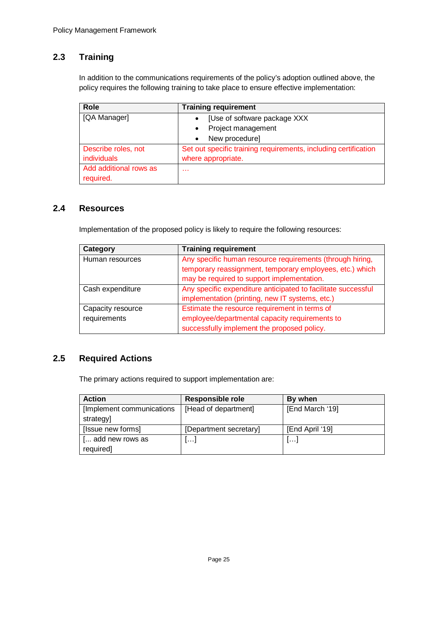## <span id="page-25-0"></span>**2.3 Training**

In addition to the communications requirements of the policy's adoption outlined above, the policy requires the following training to take place to ensure effective implementation:

| Role                   | <b>Training requirement</b>                                     |
|------------------------|-----------------------------------------------------------------|
| [QA Manager]           | [Use of software package XXX                                    |
|                        | Project management<br>$\bullet$                                 |
|                        | New procedure]<br>$\bullet$                                     |
| Describe roles, not    | Set out specific training requirements, including certification |
| individuals            | where appropriate.                                              |
| Add additional rows as | .                                                               |
| required.              |                                                                 |

#### <span id="page-25-1"></span>**2.4 Resources**

Implementation of the proposed policy is likely to require the following resources:

| Category          | <b>Training requirement</b>                                   |
|-------------------|---------------------------------------------------------------|
| Human resources   | Any specific human resource requirements (through hiring,     |
|                   | temporary reassignment, temporary employees, etc.) which      |
|                   | may be required to support implementation.                    |
| Cash expenditure  | Any specific expenditure anticipated to facilitate successful |
|                   | implementation (printing, new IT systems, etc.)               |
| Capacity resource | Estimate the resource requirement in terms of                 |
| requirements      | employee/departmental capacity requirements to                |
|                   | successfully implement the proposed policy.                   |

#### <span id="page-25-2"></span>**2.5 Required Actions**

The primary actions required to support implementation are:

<span id="page-25-3"></span>

| <b>Action</b>              | <b>Responsible role</b> | By when         |
|----------------------------|-------------------------|-----------------|
| [Implement communications] | [Head of department]    | [End March '19] |
| strategy]                  |                         |                 |
| [Issue new forms]          | [Department secretary]  | [End April '19] |
| [ add new rows as          | ا ۱۰۰۰                  | وتبدل           |
| required]                  |                         |                 |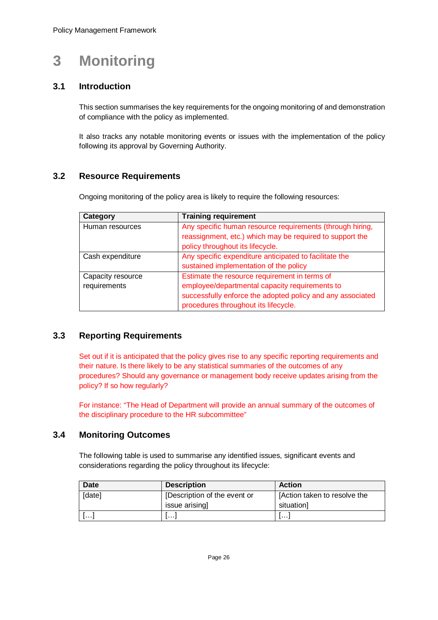# **3 Monitoring**

### <span id="page-26-0"></span>**3.1 Introduction**

This section summarises the key requirements for the ongoing monitoring of and demonstration of compliance with the policy as implemented.

It also tracks any notable monitoring events or issues with the implementation of the policy following its approval by Governing Authority.

### <span id="page-26-1"></span>**3.2 Resource Requirements**

Ongoing monitoring of the policy area is likely to require the following resources:

| Category          | <b>Training requirement</b>                                                                                           |
|-------------------|-----------------------------------------------------------------------------------------------------------------------|
| Human resources   | Any specific human resource requirements (through hiring,<br>reassignment, etc.) which may be required to support the |
|                   | policy throughout its lifecycle.                                                                                      |
| Cash expenditure  | Any specific expenditure anticipated to facilitate the                                                                |
|                   | sustained implementation of the policy                                                                                |
| Capacity resource | Estimate the resource requirement in terms of                                                                         |
| requirements      | employee/departmental capacity requirements to                                                                        |
|                   | successfully enforce the adopted policy and any associated<br>procedures throughout its lifecycle.                    |

#### <span id="page-26-2"></span>**3.3 Reporting Requirements**

Set out if it is anticipated that the policy gives rise to any specific reporting requirements and their nature. Is there likely to be any statistical summaries of the outcomes of any procedures? Should any governance or management body receive updates arising from the policy? If so how regularly?

For instance: "The Head of Department will provide an annual summary of the outcomes of the disciplinary procedure to the HR subcommittee"

#### <span id="page-26-3"></span>**3.4 Monitoring Outcomes**

The following table is used to summarise any identified issues, significant events and considerations regarding the policy throughout its lifecycle:

| <b>Date</b> | <b>Description</b>           | <b>Action</b>                |
|-------------|------------------------------|------------------------------|
| [date]      | [Description of the event or | [Action taken to resolve the |
|             | issue arising]               | situation]                   |
| .           | .                            | .                            |